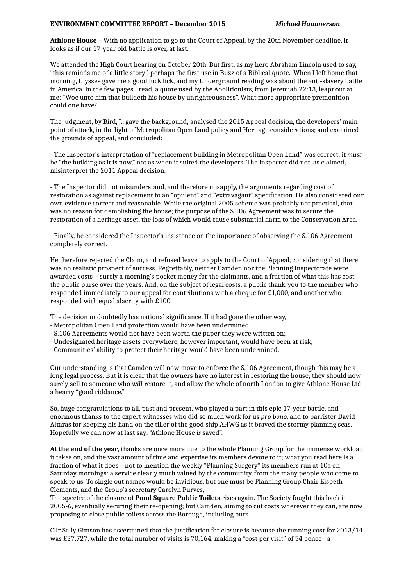## **ENVIRONMENT COMMITTEE REPORT – December 2015** *Michael Hammerson*

**Athlone House** – With no application to go to the Court of Appeal, by the 20th November deadline, it looks as if our 17-year old battle is over, at last.

We attended the High Court hearing on October 20th. But first, as my hero Abraham Lincoln used to say, "this reminds me of a little story", perhaps the first use in Buzz of a Biblical quote. When I left home that morning, Ulysses gave me a good luck lick, and my Underground reading was about the anti-slavery battle in America. In the few pages I read, a quote used by the Abolitionists, from Jeremiah 22:13, leapt out at me: "Woe unto him that buildeth his house by unrighteousness". What more appropriate premonition could one have?

The judgment, by Bird, J., gave the background; analysed the 2015 Appeal decision, the developers' main point of attack, in the light of Metropolitan Open Land policy and Heritage considerations; and examined the grounds of appeal, and concluded:

- The Inspector's interpretation of "replacement building in Metropolitan Open Land" was correct; it *must* be "the building as it is now," not as when it suited the developers. The Inspector did not, as claimed, misinterpret the 2011 Appeal decision.

- The Inspector did not misunderstand, and therefore misapply, the arguments regarding cost of restoration as against replacement to an "opulent" and "extravagant" specification. He also considered our own evidence correct and reasonable. While the original 2005 scheme was probably not practical, that was no reason for demolishing the house; the purpose of the S.106 Agreement was to secure the restoration of a heritage asset, the loss of which would cause substantial harm to the Conservation Area.

- Finally, he considered the Inspector's insistence on the importance of observing the S.106 Agreement completely correct.

He therefore rejected the Claim, and refused leave to apply to the Court of Appeal, considering that there was no realistic prospect of success. Regrettably, neither Camden nor the Planning Inspectorate were awarded costs - surely a morning's pocket money for the claimants, and a fraction of what this has cost the public purse over the years. And, on the subject of legal costs, a public thank-you to the member who responded immediately to our appeal for contributions with a cheque for £1,000, and another who responded with equal alacrity with £100.

The decision undoubtedly has national significance. If it had gone the other way,

- Metropolitan Open Land protection would have been undermined;
- S.106 Agreements would not have been worth the paper they were written on;
- Undesignated heritage assets everywhere, however important, would have been at risk;
- Communities' ability to protect their heritage would have been undermined.

Our understanding is that Camden will now move to enforce the S.106 Agreement, though this may be a long legal process. But it is clear that the owners have no interest in restoring the house; they should now surely sell to someone who *will* restore it, and allow the whole of north London to give Athlone House Ltd a hearty "good riddance."

So, huge congratulations to all, past and present, who played a part in this epic 17-year battle, and enormous thanks to the expert witnesses who did so much work for us *pro bono,* and to barrister David Altaras for keeping his hand on the tiller of the good ship AHWG as it braved the stormy planning seas. Hopefully we can now at last say: "Athlone House *is* saved".

--------------------

**At the end of the year**, thanks are once more due to the whole Planning Group for the immense workload it takes on, and the vast amount of time and expertise its members devote to it; what you read here is a fraction of what it does – not to mention the weekly "Planning Surgery" its members run at 10a on Saturday mornings: a service clearly much valued by the community, from the many people who come to speak to us. To single out names would be invidious, but one must be Planning Group Chair Elspeth Clements, and the Group's secretary Carolyn Purves,

The spectre of the closure of **Pond Square Public Toilets** rises again. The Society fought this back in 2005-6, eventually securing their re-opening; but Camden, aiming to cut costs wherever they can, are now proposing to close public toilets across the Borough, including ours.

Cllr Sally Gimson has ascertained that the justification for closure is because the running cost for 2013/14 was £37,727, while the total number of visits is 70,164, making a "cost per visit" of 54 pence - a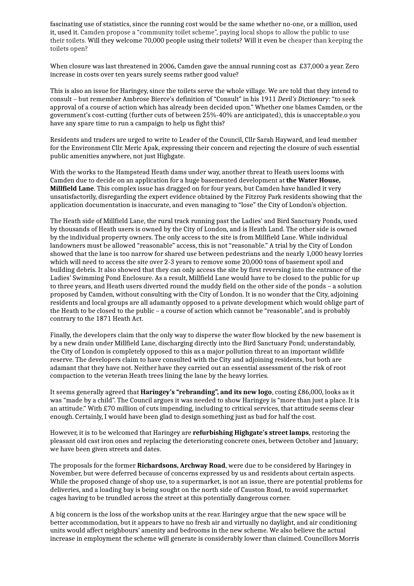fascinating use of statistics, since the running cost would be the same whether no-one, or a million, used it, used it. Camden propose a "community toilet scheme", paying local shops to allow the public to use their toilets. Will they welcome 70,000 people using their toilets? Will it even be cheaper than keeping the toilets open?

When closure was last threatened in 2006, Camden gave the annual running cost as £37,000 a year. Zero increase in costs over ten years surely seems rather good value?

This is also an issue for Haringey, since the toilets serve the whole village. We are told that they intend to consult – but remember Ambrose Bierce's definition of "Consult" in his 1911 *Devil's Dictionary*: "to seek approval of a course of action which has already been decided upon." Whether one blames Camden, or the government's cost-cutting (further cuts of between 25%-40% are anticipated), this is unacceptable.o you have any spare time to run a campaign to help us fight this?

Residents and traders are urged to write to Leader of the Council, Cllr Sarah Hayward, and lead member for the Environment Cllr. Meric Apak, expressing their concern and rejecting the closure of such essential public amenities anywhere, not just Highgate.

With the works to the Hampstead Heath dams under way, another threat to Heath users looms with Camden due to decide on an application for a huge basemented development at **the Water House, Millfield Lane**. This complex issue has dragged on for four years, but Camden have handled it very unsatisfactorily, disregarding the expert evidence obtained by the Fitzroy Park residents showing that the application documentation is inaccurate, and even managing to "lose" the City of London's objection.

The Heath side of Millfield Lane, the rural track running past the Ladies' and Bird Sanctuary Ponds, used by thousands of Heath users is owned by the City of London, and is Heath Land. The other side is owned by the individual property owners. The only access to the site is from Millfield Lane. While individual landowners must be allowed "reasonable" access, this is not "reasonable." A trial by the City of London showed that the lane is too narrow for shared use between pedestrians and the nearly 1,000 heavy lorries which will need to access the site over 2-3 years to remove some 20,000 tons of basement spoil and building debris. It also showed that they can only access the site by first reversing into the entrance of the Ladies' Swimming Pond Enclosure. As a result, Millfield Lane would have to be closed to the public for up to three years, and Heath users diverted round the muddy field on the other side of the ponds – a solution proposed by Camden, without consulting with the City of London. It is no wonder that the City, adjoining residents and local groups are all adamantly opposed to a private development which would oblige part of the Heath to be closed to the public – a course of action which cannot be "reasonable", and is probably contrary to the 1871 Heath Act.

Finally, the developers claim that the only way to disperse the water flow blocked by the new basement is by a new drain under Millfield Lane, discharging directly into the Bird Sanctuary Pond; understandably, the City of London is completely opposed to this as a major pollution threat to an important wildlife reserve. The developers claim to have consulted with the City and adjoining residents, but both are adamant that they have not. Neither have they carried out an essential assessment of the risk of root compaction to the veteran Heath trees lining the lane by the heavy lorries.

It seems generally agreed that **Haringey's "rebranding", and its new logo**, costing £86,000, looks as it was "made by a child". The Council argues it was needed to show Haringey is "more than just a place. It is an attitude." With £70 million of cuts impending, including to critical services, that attitude seems clear enough. Certainly, I would have been glad to design something just as bad for half the cost.

However, it is to be welcomed that Haringey are **refurbishing Highgate's street lamps**, restoring the pleasant old cast iron ones and replacing the deteriorating concrete ones, between October and January; we have been given streets and dates.

The proposals for the former **Richardsons, Archway Road**, were due to be considered by Haringey in November, but were deferred because of concerns expressed by us and residents about certain aspects. While the proposed change of shop use, to a supermarket, is not an issue, there are potential problems for deliveries, and a loading bay is being sought on the north side of Causton Road, to avoid supermarket cages having to be trundled across the street at this potentially dangerous corner.

A big concern is the loss of the workshop units at the rear. Haringey argue that the new space will be better accommodation, but it appears to have no fresh air and virtually no daylight, and air conditioning units would affect neighbours' amenity and bedrooms in the new scheme. We also believe the actual increase in employment the scheme will generate is considerably lower than claimed. Councillors Morris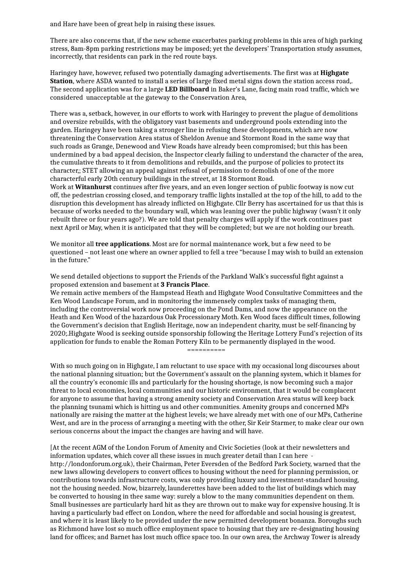and Hare have been of great help in raising these issues.

There are also concerns that, if the new scheme exacerbates parking problems in this area of high parking stress, 8am-8pm parking restrictions may be imposed; yet the developers' Transportation study assumes, incorrectly, that residents can park in the red route bays.

Haringey have, however, refused two potentially damaging advertisements. The first was at **Highgate Station**, where ASDA wanted to install a series of large fixed metal signs down the station access road,. The second application was for a large **LED Billboard** in Baker's Lane, facing main road traffic, which we considered unacceptable at the gateway to the Conservation Area,

There was a, setback, however, in our efforts to work with Haringey to prevent the plague of demolitions and oversize rebuilds, with the obligatory vast basements and underground pools extending into the garden. Haringey have been taking a stronger line in refusing these developments, which are now threatening the Conservation Area status of Sheldon Avenue and Stormont Road in the same way that such roads as Grange, Denewood and View Roads have already been compromised; but this has been undermined by a bad appeal decision, the Inspector clearly failing to understand the character of the area, the cumulative threats to it from demolitions and rebuilds, and the purpose of policies to protect its character,; STET allowing an appeal against refusal of permission to demolish of one of the more characterful early 20th century buildings in the street, at 18 Stormont Road.

Work at **Witanhurst** continues after five years, and an even longer section of public footway is now cut off, the pedestrian crossing closed, and temporary traffic lights installed at the top of the hill, to add to the disruption this development has already inflicted on Highgate. Cllr Berry has ascertained for us that this is because of works needed to the boundary wall, which was leaning over the public highway (wasn't it only rebuilt three or four years ago?). We are told that penalty charges will apply if the work continues past next April or May, when it is anticipated that they will be completed; but we are not holding our breath.

We monitor all **tree applications**. Most are for normal maintenance work, but a few need to be questioned – not least one where an owner applied to fell a tree "because I may wish to build an extension in the future."

We send detailed objections to support the Friends of the Parkland Walk's successful fight against a proposed extension and basement at **3 Francis Place**.

We remain active members of the Hampstead Heath and Highgate Wood Consultative Committees and the Ken Wood Landscape Forum, and in monitoring the immensely complex tasks of managing them, including the controversial work now proceeding on the Pond Dams, and now the appearance on the Heath and Ken Wood of the hazardous Oak Processionary Moth. Ken Wood faces difficult times, following the Government's decision that English Heritage, now an independent charity, must be self-financing by 2020;.Highgate Wood is seeking outside sponsorship following the Heritage Lottery Fund's rejection of its application for funds to enable the Roman Pottery Kiln to be permanently displayed in the wood.

==========

With so much going on in Highgate, I am reluctant to use space with my occasional long discourses about the national planning situation; but the Government's assault on the planning system, which it blames for all the country's economic ills and particularly for the housing shortage, is now becoming such a major threat to local economies, local communities and our historic environment, that it would be complacent for anyone to assume that having a strong amenity society and Conservation Area status will keep back the planning tsunami which is hitting us and other communities. Amenity groups and concerned MPs nationally are raising the matter at the highest levels; we have already met with one of our MPs, Catherine West, and are in the process of arranging a meeting with the other, Sir Keir Starmer, to make clear our own serious concerns about the impact the changes are having and will have.

[At the recent AGM of the London Forum of Amenity and Civic Societies (look at their newsletters and information updates, which cover all these issues in much greater detail than I can here http://londonforum.org.uk), their Chairman, Peter Eversden of the Bedford Park Society, warned that the new laws allowing developers to convert offices to housing without the need for planning permission, or contributions towards infrastructure costs, was only providing luxury and investment-standard housing, not the housing needed. Now, bizarrely, launderettes have been added to the list of buildings which may be converted to housing in thee same way: surely a blow to the many communities dependent on them. Small businesses are particularly hard hit as they are thrown out to make way for expensive housing. It is having a particularly bad effect on London, where the need for affordable and social housing is greatest, and where it is least likely to be provided under the new permitted development bonanza. Boroughs such as Richmond have lost so much office employment space to housing that they are re-designating housing land for offices; and Barnet has lost much office space too. In our own area, the Archway Tower is already